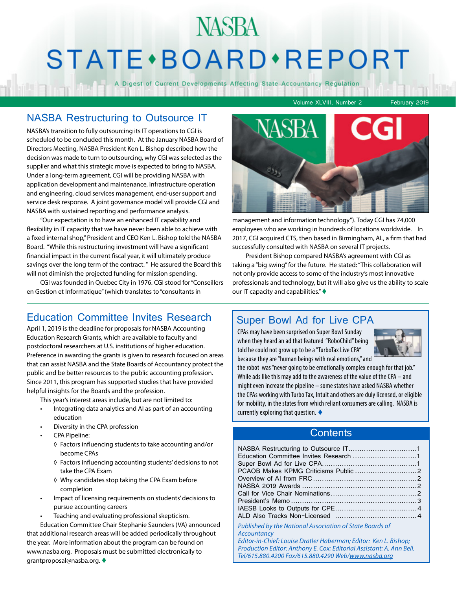## NASBA STATE · BOARD · REPORT

A Digest of Current Developments Affecting State Accountancy Regulation

#### NASBA Restructuring to Outsource IT

NASBA's transition to fully outsourcing its IT operations to CGI is scheduled to be concluded this month. At the January NASBA Board of Directors Meeting, NASBA President Ken L. Bishop described how the decision was made to turn to outsourcing, why CGI was selected as the supplier and what this strategic move is expected to bring to NASBA. Under a long-term agreement, CGI will be providing NASBA with application development and maintenance, infrastructure operation and engineering, cloud services management, end-user support and service desk response. A joint governance model will provide CGI and NASBA with sustained reporting and performance analysis.

"Our expectation is to have an enhanced IT capability and flexibility in IT capacity that we have never been able to achieve with a fixed internal shop," President and CEO Ken L. Bishop told the NASBA Board. "While this restructuring investment will have a significant financial impact in the current fiscal year, it will ultimately produce savings over the long term of the contract. " He assured the Board this will not diminish the projected funding for mission spending.

CGI was founded in Quebec City in 1976. CGI stood for "Conseillers en Gestion et Informatique" (which translates to "consultants in

#### Education Committee Invites Research

April 1, 2019 is the deadline for proposals for NASBA Accounting Education Research Grants, which are available to faculty and postdoctoral researchers at U.S. institutions of higher education. Preference in awarding the grants is given to research focused on areas that can assist NASBA and the State Boards of Accountancy protect the public and be better resources to the public accounting profession. Since 2011, this program has supported studies that have provided helpful insights for the Boards and the profession.

This year's interest areas include, but are not limited to:

- Integrating data analytics and AI as part of an accounting education
- Diversity in the CPA profession
- CPA Pipeline:
	- ◊ Factors influencing students to take accounting and/or become CPAs
	- ◊ Factors influencing accounting students' decisions to not take the CPA Exam
	- ◊ Why candidates stop taking the CPA Exam before completion
- Impact of licensing requirements on students' decisions to pursue accounting careers
- Teaching and evaluating professional skepticism.

Education Committee Chair Stephanie Saunders (VA) announced that additional research areas will be added periodically throughout the year. More information about the program can be found on www.nasba.org. Proposals must be submitted electronically to grantproposal@nasba.org.  $\blacklozenge$ 

#### Volume XLVIII, Number 2 February 2019



management and information technology"). Today CGI has 74,000 employees who are working in hundreds of locations worldwide. In 2017, CGI acquired CTS, then based in Birmingham, AL, a firm that had successfully consulted with NASBA on several IT projects.

President Bishop compared NASBA's agreement with CGI as taking a "big swing" for the future. He stated: "This collaboration will not only provide access to some of the industry's most innovative professionals and technology, but it will also give us the ability to scale our IT capacity and capabilities." $\blacklozenge$ 

#### Super Bowl Ad for Live CPA

CPAs may have been surprised on Super Bowl Sunday when they heard an ad that featured "RoboChild" being told he could not grow up to be a "TurboTax Live CPA" because they are "human beings with real emotions," and



the robot was "never going to be emotionally complex enough for that job." While ads like this may add to the awareness of the value of the CPA – and might even increase the pipeline – some states have asked NASBA whether the CPAs working with Turbo Tax, Intuit and others are duly licensed, or eligible for mobility, in the states from which reliant consumers are calling. NASBA is currently exploring that question.  $\blacklozenge$ 

#### **Contents**

| Education Committee Invites Research 1                                  |  |
|-------------------------------------------------------------------------|--|
|                                                                         |  |
|                                                                         |  |
|                                                                         |  |
|                                                                         |  |
|                                                                         |  |
|                                                                         |  |
|                                                                         |  |
|                                                                         |  |
| Published by the National Association of State Boards of<br>Accountancy |  |

*Editor-in-Chief: Louise Dratler Haberman; Editor: Ken L. Bishop; Production Editor: Anthony E. Cox; Editorial Assistant: A. Ann Bell. Tel/615.880.4200 Fax/615.880.4290 Web/www.nasba.org*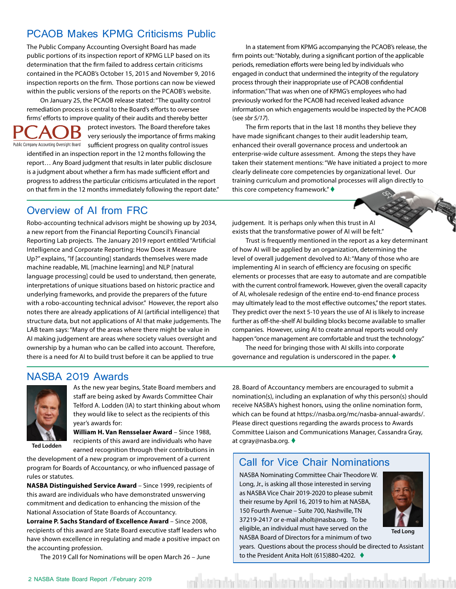### <span id="page-1-0"></span>PCAOB Makes KPMG Criticisms Public

The Public Company Accounting Oversight Board has made public portions of its inspection report of KPMG LLP based on its determination that the firm failed to address certain criticisms contained in the PCAOB's October 15, 2015 and November 9, 2016 inspection reports on the firm. Those portions can now be viewed within the public versions of the reports on the PCAOB's website.

On January 25, the PCAOB release stated: "The quality control remediation process is central to the Board's efforts to oversee firms' efforts to improve quality of their audits and thereby better protect investors. The Board therefore takes Β

very seriously the importance of firms making Public Company Accounting Oversight Board <br>Sufficient progress on quality control issues

identified in an inspection report in the 12 months following the report… Any Board judgment that results in later public disclosure is a judgment about whether a firm has made sufficient effort and progress to address the particular criticisms articulated in the report on that firm in the 12 months immediately following the report date."

In a statement from KPMG accompanying the PCAOB's release, the firm points out: "Notably, during a significant portion of the applicable periods, remediation efforts were being led by individuals who engaged in conduct that undermined the integrity of the regulatory process through their inappropriate use of PCAOB confidential information." That was when one of KPMG's employees who had previously worked for the PCAOB had received leaked advance information on which engagements would be inspected by the PCAOB (see *sbr 5/17*).

The firm reports that in the last 18 months they believe they have made significant changes to their audit leadership team, enhanced their overall governance process and undertook an enterprise-wide culture assessment. Among the steps they have taken their statement mentions: "We have initiated a project to more clearly delineate core competencies by organizational level. Our training curriculum and promotional processes will align directly to this core competency framework."  $\blacklozenge$ 

#### Overview of AI from FRC

Robo-accounting technical advisors might be showing up by 2034, a new report from the Financial Reporting Council's Financial Reporting Lab projects. The January 2019 report entitled "Artificial Intelligence and Corporate Reporting: How Does it Measure Up?" explains, "If [accounting] standards themselves were made machine readable, ML [machine learning] and NLP [natural language processing] could be used to understand, then generate, interpretations of unique situations based on historic practice and underlying frameworks, and provide the preparers of the future with a robo-accounting technical advisor." However, the report also notes there are already applications of AI (artificial intelligence) that structure data, but not applications of AI that make judgements. The LAB team says: "Many of the areas where there might be value in AI making judgement are areas where society values oversight and ownership by a human who can be called into account. Therefore, there is a need for AI to build trust before it can be applied to true

judgement. It is perhaps only when this trust in AI exists that the transformative power of AI will be felt."

Trust is frequently mentioned in the report as a key determinant of how AI will be applied by an organization, determining the level of overall judgement devolved to AI: "Many of those who are implementing AI in search of efficiency are focusing on specific elements or processes that are easy to automate and are compatible with the current control framework. However, given the overall capacity of AI, wholesale redesign of the entire end-to-end finance process may ultimately lead to the most effective outcomes," the report states. They predict over the next 5-10 years the use of AI is likely to increase further as off-the-shelf AI building blocks become available to smaller companies. However, using AI to create annual reports would only happen "once management are comfortable and trust the technology."

The need for bringing those with AI skills into corporate governance and regulation is underscored in the paper.  $\blacklozenge$ 

#### NASBA 2019 Awards



**Ted Lodden**

As the new year begins, State Board members and staff are being asked by Awards Committee Chair Telford A. Lodden (IA) to start thinking about whom they would like to select as the recipients of this year's awards for:

**William H. Van Rensselaer Award** – Since 1988, recipients of this award are individuals who have earned recognition through their contributions in

the development of a new program or improvement of a current program for Boards of Accountancy, or who influenced passage of rules or statutes.

**NASBA Distinguished Service Award** – Since 1999, recipients of this award are individuals who have demonstrated unswerving commitment and dedication to enhancing the mission of the National Association of State Boards of Accountancy.

**Lorraine P. Sachs Standard of Excellence Award** – Since 2008, recipients of this award are State Board executive staff leaders who have shown excellence in regulating and made a positive impact on the accounting profession.

The 2019 Call for Nominations will be open March 26 – June

28. Board of Accountancy members are encouraged to submit a nomination(s), including an explanation of why this person(s) should receive NASBA's highest honors, using the online nomination form, which can be found at https://nasba.org/mc/nasba-annual-awards/. Please direct questions regarding the awards process to Awards Committee Liaison and Communications Manager, Cassandra Gray, at cgray@nasba.org.  $\blacklozenge$ 

#### Call for Vice Chair Nominations

NASBA Nominating Committee Chair Theodore W. Long, Jr., is asking all those interested in serving as NASBA Vice Chair 2019-2020 to please submit their resume by April 16, 2019 to him at NASBA, 150 Fourth Avenue – Suite 700, Nashville, TN 37219-2417 or e-mail aholt@nasba.org. To be eligible, an individual must have served on the NASBA Board of Directors for a minimum of two

idadə rahamalar



**Ted Long**

years. Questions about the process should be directed to Assistant to the President Anita Holt (615)880-4202. ♦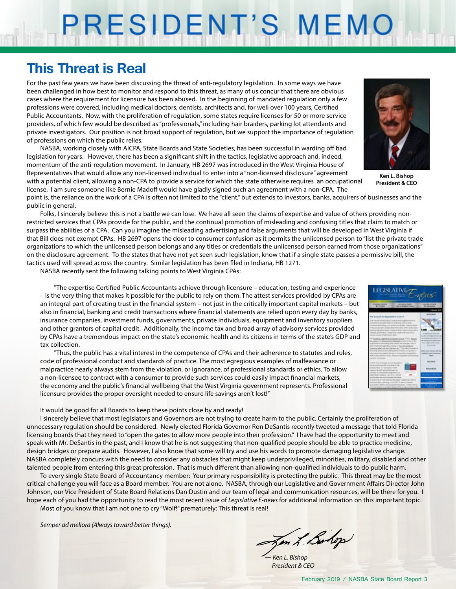# PRESIDENT'S MEMO

## **This Threat is Real**

For the past few years we have been discussing the threat of anti-regulatory legislation. In some ways we have been challenged in how best to monitor and respond to this threat, as many of us concur that there are obvious cases where the requirement for licensure has been abused. In the beginning of mandated regulation only a few professions were covered, including medical doctors, dentists, architects and, for well over 100 years, Certified Public Accountants. Now, with the proliferation of regulation, some states require licenses for 50 or more service providers, of which few would be described as "professionals," including hair braiders, parking lot attendants and private investigators. Our position is not broad support of regulation, but we support the importance of regulation of professions on which the public relies.

NASBA, working closely with AICPA, State Boards and State Societies, has been successful in warding off bad legislation for years. However, there has been a significant shift in the tactics, legislative approach and, indeed, momentum of the anti-regulation movement. In January, HB 2697 was introduced in the West Virginia House of Representatives that would allow any non-licensed individual to enter into a "non-licensed disclosure" agreement with a potential client, allowing a non-CPA to provide a service for which the state otherwise requires an occupational license. I am sure someone like Bernie Madoff would have gladly signed such an agreement with a non-CPA. The



**Ken L. Bishop President & CEO**

point is, the reliance on the work of a CPA is often not limited to the "client," but extends to investors, banks, acquirers of businesses and the public in general.

Folks, I sincerely believe this is not a battle we can lose. We have all seen the claims of expertise and value of others providing nonrestricted services that CPAs provide for the public, and the continual promotion of misleading and confusing titles that claim to match or surpass the abilities of a CPA. Can you imagine the misleading advertising and false arguments that will be developed in West Virginia if that Bill does not exempt CPAs. HB 2697 opens the door to consumer confusion as it permits the unlicensed person to "list the private trade organizations to which the unlicensed person belongs and any titles or credentials the unlicensed person earned from those organizations" on the disclosure agreement. To the states that have not yet seen such legislation, know that if a single state passes a permissive bill, the tactics used will spread across the country. Similar legislation has been filed in Indiana, HB 1271.

NASBA recently sent the following talking points to West Virginia CPAs:

"The expertise Certified Public Accountants achieve through licensure – education, testing and experience – is the very thing that makes it possible for the public to rely on them. The attest services provided by CPAs are an integral part of creating trust in the financial system – not just in the critically important capital markets – but also in financial, banking and credit transactions where financial statements are relied upon every day by banks, insurance companies, investment funds, governments, private individuals, equipment and inventory suppliers and other grantors of capital credit. Additionally, the income tax and broad array of advisory services provided by CPAs have a tremendous impact on the state's economic health and its citizens in terms of the state's GDP and tax collection.

"Thus, the public has a vital interest in the competence of CPAs and their adherence to statutes and rules, code of professional conduct and standards of practice. The most egregious examples of malfeasance or malpractice nearly always stem from the violation, or ignorance, of professional standards or ethics. To allow a non-licensee to contract with a consumer to provide such services could easily impact financial markets, the economy and the public's financial wellbeing that the West Virginia government represents. Professional licensure provides the proper oversight needed to ensure life savings aren't lost!"



#### It would be good for all Boards to keep these points close by and ready!

I sincerely believe that most legislators and Governors are not trying to create harm to the public. Certainly the proliferation of unnecessary regulation should be considered. Newly elected Florida Governor Ron DeSantis recently tweeted a message that told Florida licensing boards that they need to "open the gates to allow more people into their profession." I have had the opportunity to meet and speak with Mr. DeSantis in the past, and I know that he is not suggesting that non-qualified people should be able to practice medicine, design bridges or prepare audits. However, I also know that some will try and use his words to promote damaging legislative change. NASBA completely concurs with the need to consider any obstacles that might keep underprivileged, minorities, military, disabled and other talented people from entering this great profession. That is much different than allowing non-qualified individuals to do public harm.

To every single State Board of Accountancy member: Your primary responsibility is protecting the public. This threat may be the most critical challenge you will face as a Board member. You are not alone. NASBA, through our Legislative and Government Affairs Director John Johnson, our Vice President of State Board Relations Dan Dustin and our team of legal and communication resources, will be there for you. I hope each of you had the opportunity to read the most recent issue of *Legislative E-news* for additional information on this important topic.

Most of you know that I am not one to cry "Wolf!" prematurely: This threat is real!

*Semper ad meliora (Always toward better things).*

Jen L. Bohop

*— Ken L. Bishop President & CEO*